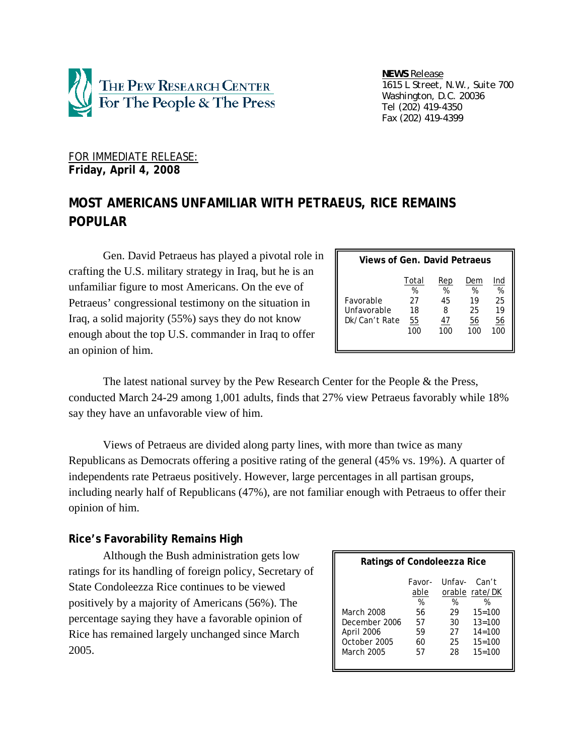

 *NEWS Release 1615 L Street, N.W., Suite 700 Washington, D.C. 20036 Tel (202) 419-4350 Fax (202) 419-4399*

### FOR IMMEDIATE RELEASE: **Friday, April 4, 2008**

# **MOST AMERICANS UNFAMILIAR WITH PETRAEUS, RICE REMAINS POPULAR**

Gen. David Petraeus has played a pivotal role in crafting the U.S. military strategy in Iraq, but he is an unfamiliar figure to most Americans. On the eve of Petraeus' congressional testimony on the situation in Iraq, a solid majority (55%) says they do not know enough about the top U.S. commander in Iraq to offer an opinion of him.

| Views of Gen. David Petraeus              |                                     |                                  |                                   |                                   |  |
|-------------------------------------------|-------------------------------------|----------------------------------|-----------------------------------|-----------------------------------|--|
| Favorable<br>Unfavorable<br>Dk/Can't Rate | Total<br>%<br>27<br>18<br>55<br>100 | Rep<br>%<br>45<br>8<br>47<br>100 | Dem<br>%<br>19<br>25<br>56<br>100 | Ind<br>%<br>25<br>19<br>56<br>100 |  |

The latest national survey by the Pew Research Center for the People & the Press, conducted March 24-29 among 1,001 adults, finds that 27% view Petraeus favorably while 18% say they have an unfavorable view of him.

Views of Petraeus are divided along party lines, with more than twice as many Republicans as Democrats offering a positive rating of the general (45% vs. 19%). A quarter of independents rate Petraeus positively. However, large percentages in all partisan groups, including nearly half of Republicans (47%), are not familiar enough with Petraeus to offer their opinion of him.

## **Rice's Favorability Remains High**

Although the Bush administration gets low ratings for its handling of foreign policy, Secretary of State Condoleezza Rice continues to be viewed positively by a majority of Americans (56%). The percentage saying they have a favorable opinion of Rice has remained largely unchanged since March 2005.

| Ratings of Condoleezza Rice                                             |                                                   |                                           |                                                                                                |  |
|-------------------------------------------------------------------------|---------------------------------------------------|-------------------------------------------|------------------------------------------------------------------------------------------------|--|
| March 2008<br>December 2006<br>April 2006<br>October 2005<br>March 2005 | Favor-<br>able<br>%<br>56<br>57<br>59<br>60<br>57 | Unfav-<br>%<br>29<br>30<br>27<br>25<br>28 | Can't<br>orable rate/DK<br>%<br>$15 = 100$<br>$13=100$<br>$14 = 100$<br>$15 = 100$<br>$15=100$ |  |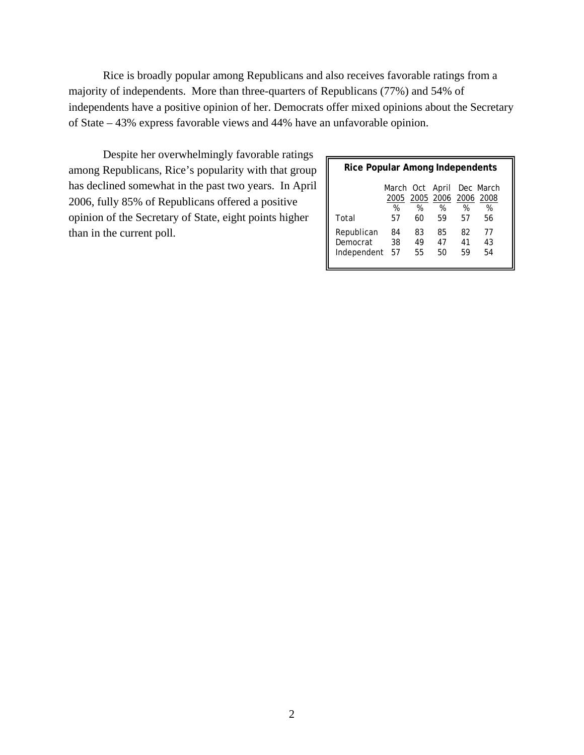Rice is broadly popular among Republicans and also receives favorable ratings from a majority of independents. More than three-quarters of Republicans (77%) and 54% of independents have a positive opinion of her. Democrats offer mixed opinions about the Secretary of State – 43% express favorable views and 44% have an unfavorable opinion.

Despite her overwhelmingly favorable ratings among Republicans, Rice's popularity with that group has declined somewhat in the past two years. In April 2006, fully 85% of Republicans offered a positive opinion of the Secretary of State, eight points higher than in the current poll.

| Rice Popular Among Independents       |                                |                |                               |                |                |
|---------------------------------------|--------------------------------|----------------|-------------------------------|----------------|----------------|
|                                       | March Oct April Dec March<br>% | %              | 2005 2005 2006 2006 2008<br>% | %              | %              |
| Total                                 | 57                             | 60             | 59                            | 57             | 56             |
| Republican<br>Democrat<br>Independent | 84<br>38<br>57                 | 83<br>49<br>55 | 85<br>47<br>50                | 82<br>41<br>59 | 77<br>43<br>54 |